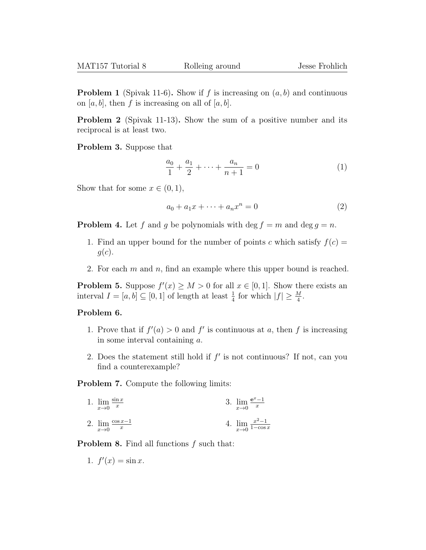**Problem 1** (Spivak 11-6). Show if f is increasing on  $(a, b)$  and continuous on [a, b], then f is increasing on all of [a, b].

Problem 2 (Spivak 11-13). Show the sum of a positive number and its reciprocal is at least two.

Problem 3. Suppose that

$$
\frac{a_0}{1} + \frac{a_1}{2} + \dots + \frac{a_n}{n+1} = 0 \tag{1}
$$

Show that for some  $x \in (0,1)$ ,

$$
a_0 + a_1 x + \dots + a_n x^n = 0 \tag{2}
$$

**Problem 4.** Let f and g be polynomials with deg  $f = m$  and deg  $g = n$ .

- 1. Find an upper bound for the number of points c which satisfy  $f(c) =$  $g(c).$
- 2. For each  $m$  and  $n$ , find an example where this upper bound is reached.

**Problem 5.** Suppose  $f'(x) \geq M > 0$  for all  $x \in [0,1]$ . Show there exists an interval  $I = [a, b] \subseteq [0, 1]$  of length at least  $\frac{1}{4}$  for which  $|f| \geq \frac{M}{4}$ .

## Problem 6.

- 1. Prove that if  $f'(a) > 0$  and f' is continuous at a, then f is increasing in some interval containing a.
- 2. Does the statement still hold if  $f'$  is not continuous? If not, can you find a counterexample?

Problem 7. Compute the following limits:

1. 
$$
\lim_{x \to 0} \frac{\sin x}{x}
$$
  
2.  $\lim_{x \to 0} \frac{\cos x - 1}{x}$   
3.  $\lim_{x \to 0} \frac{e^x - 1}{x}$   
4.  $\lim_{x \to 0} \frac{x^2 - 1}{1 - \cos x}$ 

**Problem 8.** Find all functions f such that:

1.  $f'(x) = \sin x$ .